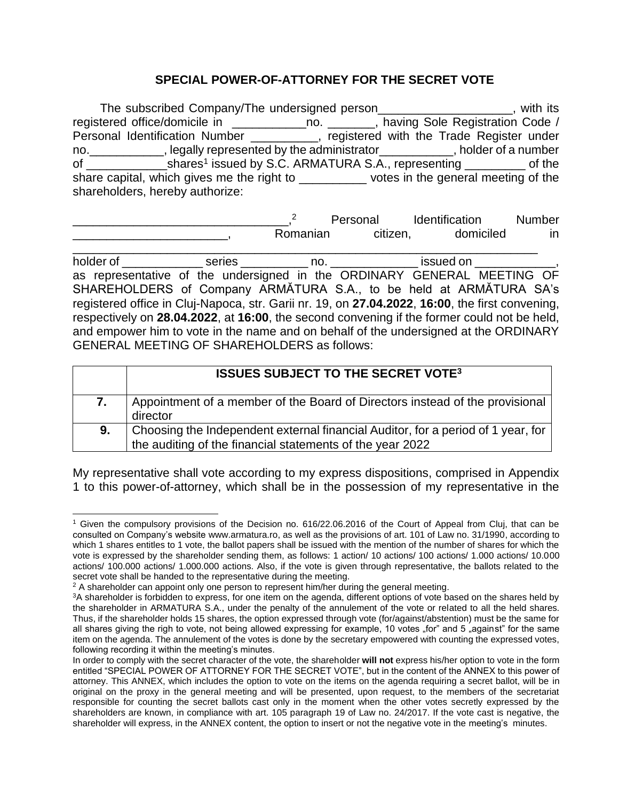## **SPECIAL POWER-OF-ATTORNEY FOR THE SECRET VOTE**

The subscribed Company/The undersigned person The subscribed Company/The undersigned person registered office/domicile in \_\_\_\_\_\_\_\_\_\_\_\_\_no. \_\_\_\_\_\_\_, having Sole Registration Code / Personal Identification Number \_\_\_\_\_\_\_\_\_\_, registered with the Trade Register under no.\_\_\_\_\_\_\_\_\_\_\_, legally represented by the administrator\_\_\_\_\_\_\_\_\_\_\_, holder of a number of \_\_\_\_\_\_\_\_\_\_\_\_\_\_shares<sup>1</sup> issued by S.C. ARMATURA S.A., representing \_\_\_\_\_\_\_\_\_\_ of the share capital, which gives me the right to \_\_\_\_\_\_\_\_\_\_\_\_ votes in the general meeting of the shareholders, hereby authorize:

\_\_\_\_\_\_\_\_\_\_\_\_\_\_\_\_\_\_\_\_\_\_\_\_\_\_\_\_\_\_\_\_, <sup>2</sup> Personal Identification Number Romanian citizen, domiciled in \_\_\_\_\_\_\_\_\_\_\_\_\_\_\_\_\_\_\_\_\_\_\_\_\_\_\_\_\_\_\_\_\_\_\_\_\_\_\_\_\_\_\_\_\_\_\_\_\_\_\_\_\_\_\_\_\_\_\_\_\_\_\_\_\_\_\_\_\_

holder of \_\_\_\_\_\_\_\_\_\_\_\_\_\_\_\_ series \_\_\_\_\_\_\_\_\_\_\_\_\_ no. \_\_\_\_\_\_\_\_\_\_\_\_\_\_\_\_\_ issued on \_\_\_\_\_\_\_\_\_\_\_\_\_\_, as representative of the undersigned in the ORDINARY GENERAL MEETING OF SHAREHOLDERS of Company ARMĂTURA S.A., to be held at ARMĂTURA SA's registered office in Cluj-Napoca, str. Garii nr. 19, on **27.04.2022**, **16:00**, the first convening, respectively on **28.04.2022**, at **16:00**, the second convening if the former could not be held, and empower him to vote in the name and on behalf of the undersigned at the ORDINARY GENERAL MEETING OF SHAREHOLDERS as follows:

|    | <b>ISSUES SUBJECT TO THE SECRET VOTE<sup>3</sup></b>                                                                                          |  |
|----|-----------------------------------------------------------------------------------------------------------------------------------------------|--|
| 7. | Appointment of a member of the Board of Directors instead of the provisional<br>director                                                      |  |
| 9. | Choosing the Independent external financial Auditor, for a period of 1 year, for<br>the auditing of the financial statements of the year 2022 |  |

My representative shall vote according to my express dispositions, comprised in Appendix 1 to this power-of-attorney, which shall be in the possession of my representative in the

<sup>1</sup> Given the compulsory provisions of the Decision no. 616/22.06.2016 of the Court of Appeal from Cluj, that can be consulted on Company's website [www.armatura.ro,](http://www.armatura.ro/) as well as the provisions of art. 101 of Law no. 31/1990, according to which 1 shares entitles to 1 vote, the ballot papers shall be issued with the mention of the number of shares for which the vote is expressed by the shareholder sending them, as follows: 1 action/ 10 actions/ 100 actions/ 1.000 actions/ 10.000 actions/ 100.000 actions/ 1.000.000 actions. Also, if the vote is given through representative, the ballots related to the secret vote shall be handed to the representative during the meeting.

 $2A$  shareholder can appoint only one person to represent him/her during the general meeting.

<sup>&</sup>lt;sup>3</sup>A shareholder is forbidden to express, for one item on the agenda, different options of vote based on the shares held by the shareholder in ARMATURA S.A., under the penalty of the annulement of the vote or related to all the held shares. Thus, if the shareholder holds 15 shares, the option expressed through vote (for/against/abstention) must be the same for all shares giving the righ to vote, not being allowed expressing for example, 10 votes "for" and 5 "against" for the same item on the agenda. The annulement of the votes is done by the secretary empowered with counting the expressed votes, following recording it within the meeting's minutes.

In order to comply with the secret character of the vote, the shareholder **will not** express his/her option to vote in the form entitled "SPECIAL POWER OF ATTORNEY FOR THE SECRET VOTE", but in the content of the ANNEX to this power of attorney. This ANNEX, which includes the option to vote on the items on the agenda requiring a secret ballot, will be in original on the proxy in the general meeting and will be presented, upon request, to the members of the secretariat responsible for counting the secret ballots cast only in the moment when the other votes secretly expressed by the shareholders are known, in compliance with art. 105 paragraph 19 of Law no. 24/2017. If the vote cast is negative, the shareholder will express, in the ANNEX content, the option to insert or not the negative vote in the meeting's minutes.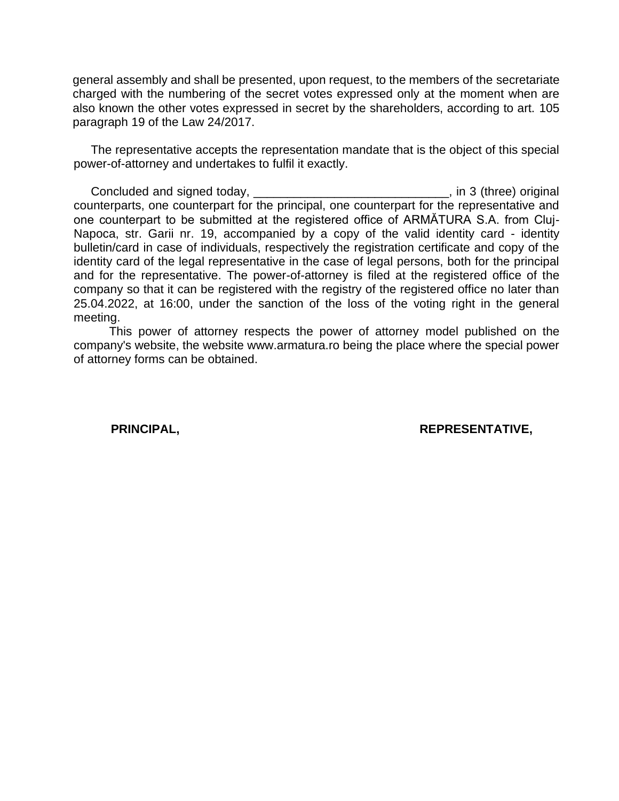general assembly and shall be presented, upon request, to the members of the secretariate charged with the numbering of the secret votes expressed only at the moment when are also known the other votes expressed in secret by the shareholders, according to art. 105 paragraph 19 of the Law 24/2017.

The representative accepts the representation mandate that is the object of this special power-of-attorney and undertakes to fulfil it exactly.

Concluded and signed today, the same of the same of the set of the set of the set of the set of the set of the s counterparts, one counterpart for the principal, one counterpart for the representative and one counterpart to be submitted at the registered office of ARMĂTURA S.A. from Cluj-Napoca, str. Garii nr. 19, accompanied by a copy of the valid identity card - identity bulletin/card in case of individuals, respectively the registration certificate and copy of the identity card of the legal representative in the case of legal persons, both for the principal and for the representative. The power-of-attorney is filed at the registered office of the company so that it can be registered with the registry of the registered office no later than 25.04.2022, at 16:00, under the sanction of the loss of the voting right in the general meeting.

This power of attorney respects the power of attorney model published on the company's website, the website www.armatura.ro being the place where the special power of attorney forms can be obtained.

 **PRINCIPAL, REPRESENTATIVE,**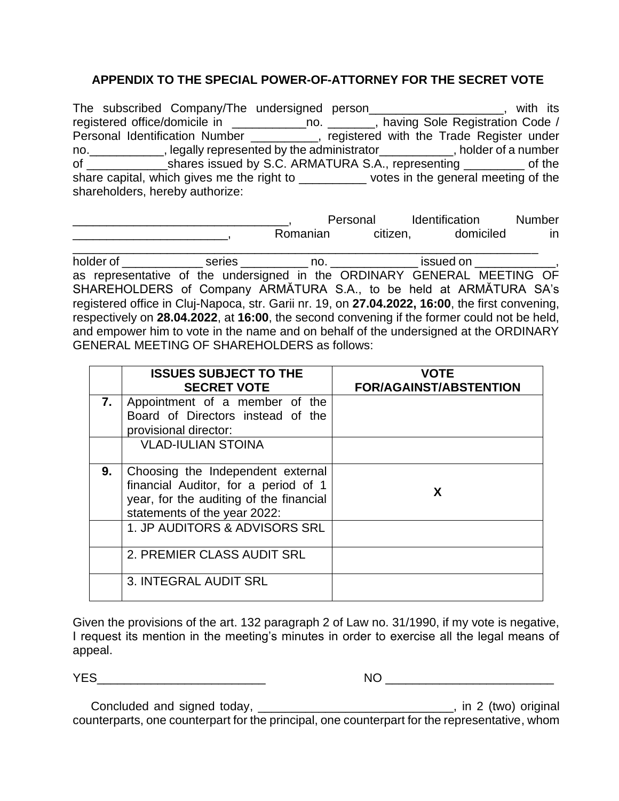## **APPENDIX TO THE SPECIAL POWER-OF-ATTORNEY FOR THE SECRET VOTE**

The subscribed Company/The undersigned person The subscribed Company/The undersigned person registered office/domicile in \_\_\_\_\_\_\_\_\_\_\_\_\_no. \_\_\_\_\_\_\_, having Sole Registration Code / Personal Identification Number \_\_\_\_\_\_\_\_\_\_, registered with the Trade Register under no.\_\_\_\_\_\_\_\_\_\_\_, legally represented by the administrator\_\_\_\_\_\_\_\_\_\_\_, holder of a number of \_\_\_\_\_\_\_\_\_\_\_\_\_\_shares issued by S.C. ARMATURA S.A., representing \_\_\_\_\_\_\_\_\_ of the share capital, which gives me the right to \_\_\_\_\_\_\_\_\_\_\_\_\_votes in the general meeting of the shareholders, hereby authorize:

<sub>\_\_</sub>, Personal Identification Number \_\_\_\_\_\_\_\_\_\_\_\_\_\_\_\_\_\_\_\_\_\_\_, Romanian citizen, domiciled in \_\_\_\_\_\_\_\_\_\_\_\_\_\_\_\_\_\_\_\_\_\_\_\_\_\_\_\_\_\_\_\_\_\_\_\_\_\_\_\_\_\_\_\_\_\_\_\_\_\_\_\_\_\_\_\_\_\_\_\_\_\_\_\_\_\_\_\_\_ holder of \_\_\_\_\_\_\_\_\_\_\_\_\_\_\_\_ series \_\_\_\_\_\_\_\_\_\_\_\_\_ no. \_\_\_\_\_\_\_\_\_\_\_\_\_\_\_\_\_ issued on \_\_\_\_\_\_\_\_\_\_\_\_\_\_, as representative of the undersigned in the ORDINARY GENERAL MEETING OF SHAREHOLDERS of Company ARMĂTURA S.A., to be held at ARMĂTURA SA's registered office in Cluj-Napoca, str. Garii nr. 19, on **27.04.2022, 16:00**, the first convening, respectively on **28.04.2022**, at **16:00**, the second convening if the former could not be held,

and empower him to vote in the name and on behalf of the undersigned at the ORDINARY GENERAL MEETING OF SHAREHOLDERS as follows:

|    | <b>ISSUES SUBJECT TO THE</b><br><b>SECRET VOTE</b>                                                                        | VOTE<br><b>FOR/AGAINST/ABSTENTION</b> |
|----|---------------------------------------------------------------------------------------------------------------------------|---------------------------------------|
| 7. | Appointment of a member of the<br>Board of Directors instead of the<br>provisional director:<br><b>VLAD-IULIAN STOINA</b> |                                       |
| 9. | Choosing the Independent external<br>financial Auditor, for a period of 1<br>year, for the auditing of the financial      | X                                     |
|    | statements of the year 2022:<br>1. JP AUDITORS & ADVISORS SRL                                                             |                                       |
|    | 2. PREMIER CLASS AUDIT SRL                                                                                                |                                       |
|    | <b>3. INTEGRAL AUDIT SRL</b>                                                                                              |                                       |

Given the provisions of the art. 132 paragraph 2 of Law no. 31/1990, if my vote is negative, I request its mention in the meeting's minutes in order to exercise all the legal means of appeal.

 $YES$  and  $NO$  and  $NO$  and  $NO$  and  $NO$  and  $NO$  and  $N$ 

Concluded and signed today, \_\_\_\_\_\_\_\_\_\_\_\_\_\_\_\_\_\_\_\_\_\_\_\_\_\_\_\_\_, in 2 (two) original counterparts, one counterpart for the principal, one counterpart for the representative, whom